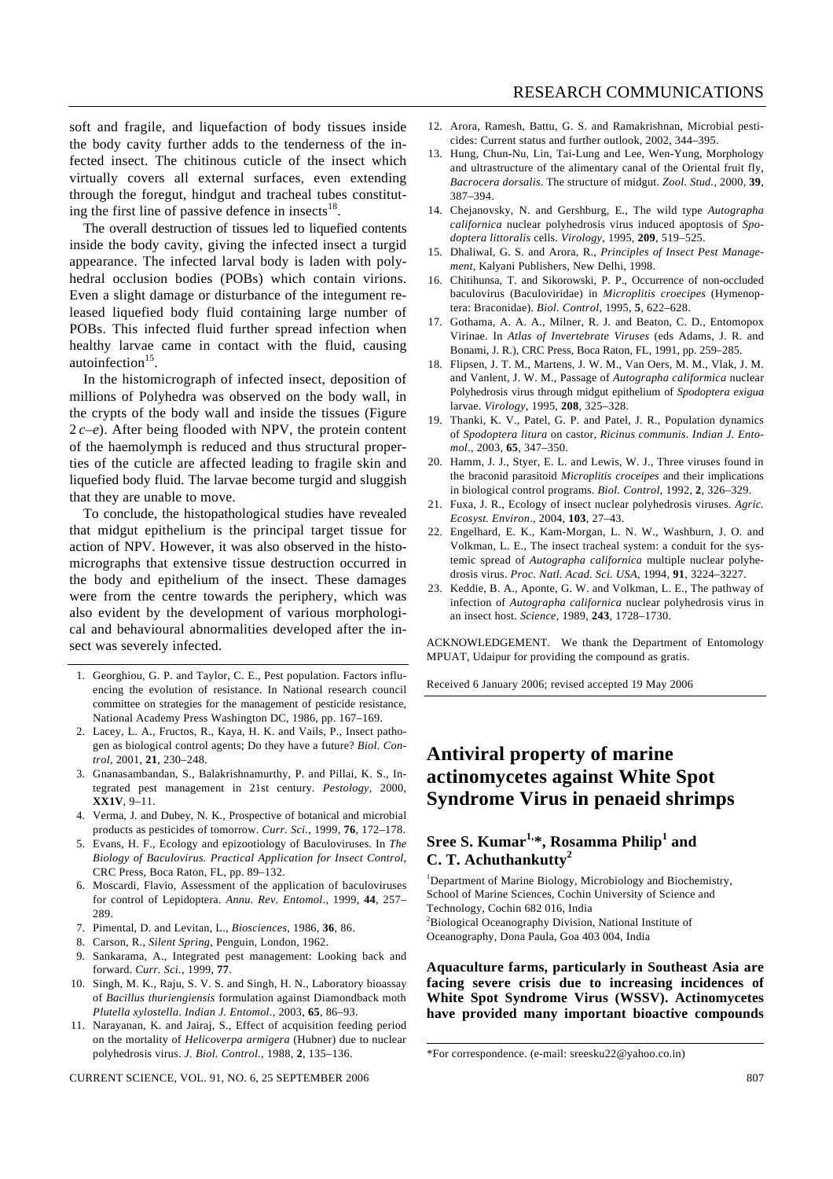soft and fragile, and liquefaction of body tissues inside the body cavity further adds to the tenderness of the infected insect. The chitinous cuticle of the insect which virtually covers all external surfaces, even extending through the foregut, hindgut and tracheal tubes constituting the first line of passive defence in insects $^{18}$ .

The overall destruction of tissues led to liquefied contents inside the body cavity, giving the infected insect a turgid appearance. The infected larval body is laden with polyhedral occlusion bodies (POBs) which contain virions. Even a slight damage or disturbance of the integument released liquefied body fluid containing large number of POBs. This infected fluid further spread infection when healthy larvae came in contact with the fluid, causing autoinfection<sup>15</sup>.

In the histomicrograph of infected insect, deposition of millions of Polyhedra was observed on the body wall, in the crypts of the body wall and inside the tissues (Figure 2 *c–e*). After being flooded with NPV, the protein content of the haemolymph is reduced and thus structural properties of the cuticle are affected leading to fragile skin and liquefied body fluid. The larvae become turgid and sluggish that they are unable to move.

To conclude, the histopathological studies have revealed that midgut epithelium is the principal target tissue for action of NPV. However, it was also observed in the histomicrographs that extensive tissue destruction occurred in the body and epithelium of the insect. These damages were from the centre towards the periphery, which was also evident by the development of various morphological and behavioural abnormalities developed after the insect was severely infected.

- 1. Georghiou, G. P. and Taylor, C. E., Pest population. Factors influencing the evolution of resistance. In National research council committee on strategies for the management of pesticide resistance, National Academy Press Washington DC, 1986, pp. 167–169.
- 2. Lacey, L. A., Fructos, R., Kaya, H. K. and Vails, P., Insect pathogen as biological control agents; Do they have a future? *Biol. Control*, 2001, **21**, 230–248.
- 3. Gnanasambandan, S., Balakrishnamurthy, P. and Pillai, K. S., Integrated pest management in 21st century. *Pestology*, 2000, **XX1V**, 9–11.
- 4. Verma, J. and Dubey, N. K., Prospective of botanical and microbial products as pesticides of tomorrow. *Curr. Sci.*, 1999, **76**, 172–178.
- 5. Evans, H. F., Ecology and epizootiology of Baculoviruses. In *The Biology of Baculovirus. Practical Application for Insect Control*, CRC Press, Boca Raton, FL, pp. 89–132.
- 6. Moscardi, Flavio, Assessment of the application of baculoviruses for control of Lepidoptera. *Annu. Rev. Entomol*., 1999, **44**, 257– 289.
- 7. Pimental, D. and Levitan, L., *Biosciences*, 1986, **36**, 86.
- 8. Carson, R., *Silent Spring*, Penguin, London, 1962.
- 9. Sankarama, A., Integrated pest management: Looking back and forward. *Curr. Sci.*, 1999, **77**.
- 10. Singh, M. K., Raju, S. V. S. and Singh, H. N., Laboratory bioassay of *Bacillus thuriengiensis* formulation against Diamondback moth *Plutella xylostella*. *Indian J. Entomol*., 2003, **65**, 86–93.
- 11. Narayanan, K. and Jairaj, S., Effect of acquisition feeding period on the mortality of *Helicoverpa armigera* (Hubner) due to nuclear polyhedrosis virus. *J. Biol. Control.*, 1988, **2**, 135–136.

CURRENT SCIENCE, VOL. 91, NO. 6, 25 SEPTEMBER 2006 807 807

- 12. Arora, Ramesh, Battu, G. S. and Ramakrishnan, Microbial pesticides: Current status and further outlook, 2002, 344–395.
- 13. Hung, Chun-Nu, Lin, Tai-Lung and Lee, Wen-Yung, Morphology and ultrastructure of the alimentary canal of the Oriental fruit fly, *Bacrocera dorsalis*. The structure of midgut. *Zool. Stud.*, 2000, **39**, 387–394.
- 14. Chejanovsky, N. and Gershburg, E., The wild type *Autographa californica* nuclear polyhedrosis virus induced apoptosis of *Spodoptera littoralis* cells. *Virology*, 1995, **209**, 519–525.
- 15. Dhaliwal, G. S. and Arora, R., *Principles of Insect Pest Management*, Kalyani Publishers, New Delhi, 1998.
- 16. Chitihunsa, T. and Sikorowski, P. P., Occurrence of non-occluded baculovirus (Baculoviridae) in *Microplitis croecipes* (Hymenoptera: Braconidae). *Biol. Control*, 1995, **5**, 622–628.
- 17. Gothama, A. A. A., Milner, R. J. and Beaton, C. D., Entomopox Virinae. In *Atlas of Invertebrate Viruses* (eds Adams, J. R. and Bonami, J. R.), CRC Press, Boca Raton, FL, 1991, pp. 259–285.
- 18. Flipsen, J. T. M., Martens, J. W. M., Van Oers, M. M., Vlak, J. M. and Vanlent, J. W. M., Passage of *Autographa califormica* nuclear Polyhedrosis virus through midgut epithelium of *Spodoptera exigua* larvae. *Virology*, 1995, **208**, 325–328.
- 19. Thanki, K. V., Patel, G. P. and Patel, J. R., Population dynamics of *Spodoptera litura* on castor, *Ricinus communis*. *Indian J. Entomol*., 2003, **65**, 347–350.
- 20. Hamm, J. J., Styer, E. L. and Lewis, W. J., Three viruses found in the braconid parasitoid *Microplitis croceipes* and their implications in biological control programs. *Biol. Control*, 1992, **2**, 326–329.
- 21. Fuxa, J. R., Ecology of insect nuclear polyhedrosis viruses. *Agric. Ecosyst. Environ*., 2004, **103**, 27–43.
- 22. Engelhard, E. K., Kam-Morgan, L. N. W., Washburn, J. O. and Volkman, L. E., The insect tracheal system: a conduit for the systemic spread of *Autographa californica* multiple nuclear polyhedrosis virus. *Proc. Natl. Acad. Sci. USA*, 1994, **91**, 3224–3227.
- 23. Keddie, B. A., Aponte, G. W. and Volkman, L. E., The pathway of infection of *Autographa californica* nuclear polyhedrosis virus in an insect host. *Science*, 1989, **243**, 1728–1730.

ACKNOWLEDGEMENT. We thank the Department of Entomology MPUAT, Udaipur for providing the compound as gratis.

Received 6 January 2006; revised accepted 19 May 2006

## **Antiviral property of marine actinomycetes against White Spot Syndrome Virus in penaeid shrimps**

## **Sree S. Kumar1,\*, Rosamma Philip<sup>1</sup> and C. T. Achuthankutty<sup>2</sup>**

<sup>1</sup>Department of Marine Biology, Microbiology and Biochemistry, School of Marine Sciences, Cochin University of Science and Technology, Cochin 682 016, India <sup>2</sup>Biological Oceanography Division, National Institute of Oceanography, Dona Paula, Goa 403 004, India

**Aquaculture farms, particularly in Southeast Asia are facing severe crisis due to increasing incidences of White Spot Syndrome Virus (WSSV). Actinomycetes have provided many important bioactive compounds** 

<sup>\*</sup>For correspondence. (e-mail: sreesku22@yahoo.co.in)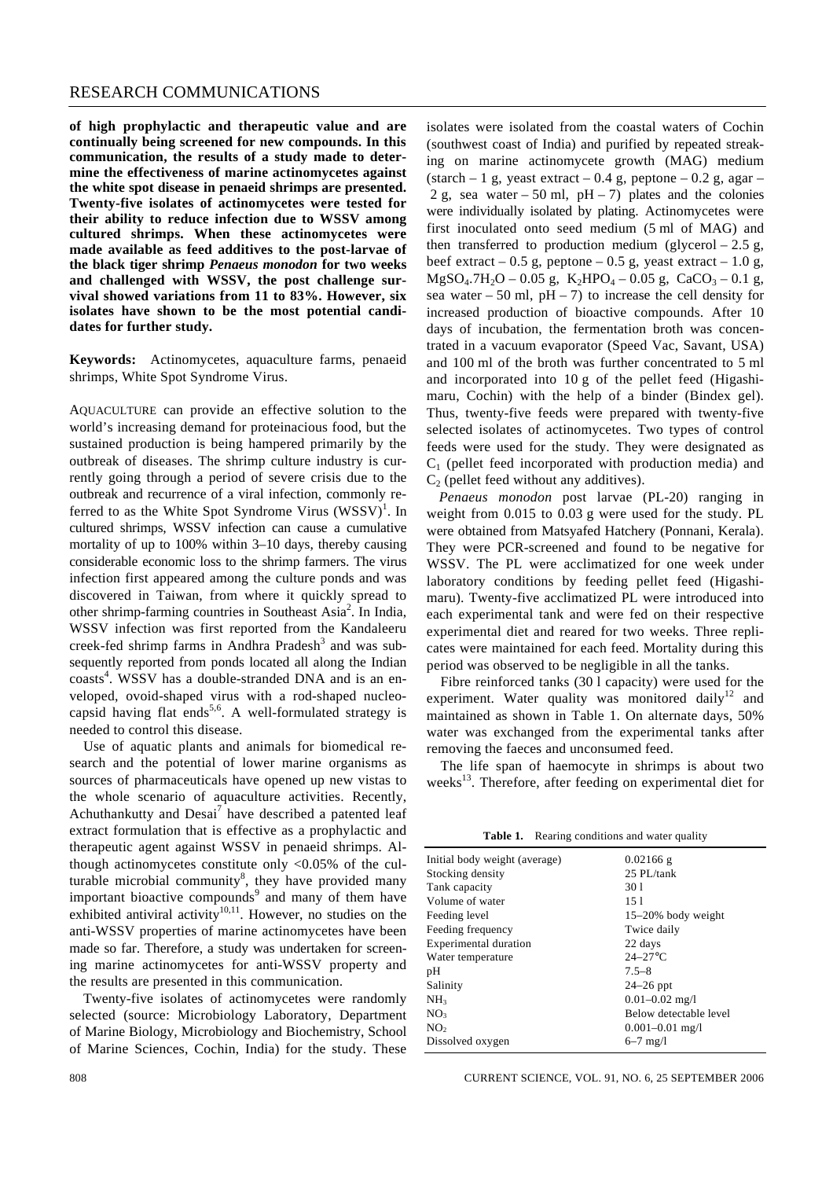**of high prophylactic and therapeutic value and are continually being screened for new compounds. In this communication, the results of a study made to determine the effectiveness of marine actinomycetes against the white spot disease in penaeid shrimps are presented. Twenty-five isolates of actinomycetes were tested for their ability to reduce infection due to WSSV among cultured shrimps. When these actinomycetes were made available as feed additives to the post-larvae of the black tiger shrimp** *Penaeus monodon* **for two weeks and challenged with WSSV, the post challenge survival showed variations from 11 to 83%. However, six isolates have shown to be the most potential candidates for further study.** 

**Keywords:** Actinomycetes, aquaculture farms, penaeid shrimps, White Spot Syndrome Virus.

AQUACULTURE can provide an effective solution to the world's increasing demand for proteinacious food, but the sustained production is being hampered primarily by the outbreak of diseases. The shrimp culture industry is currently going through a period of severe crisis due to the outbreak and recurrence of a viral infection, commonly referred to as the White Spot Syndrome Virus  $(WSSV)^{1}$ . In cultured shrimps, WSSV infection can cause a cumulative mortality of up to 100% within 3–10 days, thereby causing considerable economic loss to the shrimp farmers. The virus infection first appeared among the culture ponds and was discovered in Taiwan, from where it quickly spread to other shrimp-farming countries in Southeast Asia<sup>2</sup>. In India, WSSV infection was first reported from the Kandaleeru creek-fed shrimp farms in Andhra Pradesh $3$  and was subsequently reported from ponds located all along the Indian coasts<sup>4</sup>. WSSV has a double-stranded DNA and is an enveloped, ovoid-shaped virus with a rod-shaped nucleocapsid having flat ends<sup>5,6</sup>. A well-formulated strategy is needed to control this disease.

Use of aquatic plants and animals for biomedical research and the potential of lower marine organisms as sources of pharmaceuticals have opened up new vistas to the whole scenario of aquaculture activities. Recently, Achuthankutty and Desai<sup>7</sup> have described a patented leaf extract formulation that is effective as a prophylactic and therapeutic agent against WSSV in penaeid shrimps. Although actinomycetes constitute only  $\langle 0.05\%$  of the culturable microbial community<sup>8</sup>, they have provided many important bioactive compounds<sup>9</sup> and many of them have exhibited antiviral activity<sup>10,11</sup>. However, no studies on the anti-WSSV properties of marine actinomycetes have been made so far. Therefore, a study was undertaken for screening marine actinomycetes for anti-WSSV property and the results are presented in this communication.

Twenty-five isolates of actinomycetes were randomly selected (source: Microbiology Laboratory, Department of Marine Biology, Microbiology and Biochemistry, School of Marine Sciences, Cochin, India) for the study. These

isolates were isolated from the coastal waters of Cochin (southwest coast of India) and purified by repeated streaking on marine actinomycete growth (MAG) medium (starch – 1 g, yeast extract – 0.4 g, peptone – 0.2 g, agar – 2 g, sea water – 50 ml,  $pH - 7$ ) plates and the colonies were individually isolated by plating. Actinomycetes were first inoculated onto seed medium (5 ml of MAG) and then transferred to production medium (glycerol  $-2.5$  g, beef extract  $-0.5$  g, peptone  $-0.5$  g, yeast extract  $-1.0$  g,  $MgSO_4.7H_2O - 0.05$  g,  $K_2HPO_4 - 0.05$  g,  $CaCO_3 - 0.1$  g, sea water  $-50$  ml, pH $-7$ ) to increase the cell density for increased production of bioactive compounds. After 10 days of incubation, the fermentation broth was concentrated in a vacuum evaporator (Speed Vac, Savant, USA) and 100 ml of the broth was further concentrated to 5 ml and incorporated into 10 g of the pellet feed (Higashimaru, Cochin) with the help of a binder (Bindex gel). Thus, twenty-five feeds were prepared with twenty-five selected isolates of actinomycetes. Two types of control feeds were used for the study. They were designated as  $C_1$  (pellet feed incorporated with production media) and  $C<sub>2</sub>$  (pellet feed without any additives).

*Penaeus monodon* post larvae (PL-20) ranging in weight from 0.015 to 0.03 g were used for the study. PL were obtained from Matsyafed Hatchery (Ponnani, Kerala). They were PCR-screened and found to be negative for WSSV. The PL were acclimatized for one week under laboratory conditions by feeding pellet feed (Higashimaru). Twenty-five acclimatized PL were introduced into each experimental tank and were fed on their respective experimental diet and reared for two weeks. Three replicates were maintained for each feed. Mortality during this period was observed to be negligible in all the tanks.

Fibre reinforced tanks (30 l capacity) were used for the experiment. Water quality was monitored daily<sup>12</sup> and maintained as shown in Table 1. On alternate days, 50% water was exchanged from the experimental tanks after removing the faeces and unconsumed feed.

The life span of haemocyte in shrimps is about two weeks<sup>13</sup>. Therefore, after feeding on experimental diet for

Table 1. Rearing conditions and water quality

| Initial body weight (average) | $0.02166$ g            |
|-------------------------------|------------------------|
| Stocking density              | 25 PL/tank             |
| Tank capacity                 | 301                    |
| Volume of water               | 151                    |
| Feeding level                 | $15-20\%$ body weight  |
| Feeding frequency             | Twice daily            |
| Experimental duration         | 22 days                |
| Water temperature             | $24-27$ °C             |
| pH                            | $7.5 - 8$              |
| Salinity                      | $24-26$ ppt            |
| NH <sub>3</sub>               | $0.01 - 0.02$ mg/l     |
| NO <sub>3</sub>               | Below detectable level |
| NO <sub>2</sub>               | $0.001 - 0.01$ mg/l    |
| Dissolved oxygen              | $6 - 7$ mg/l           |
|                               |                        |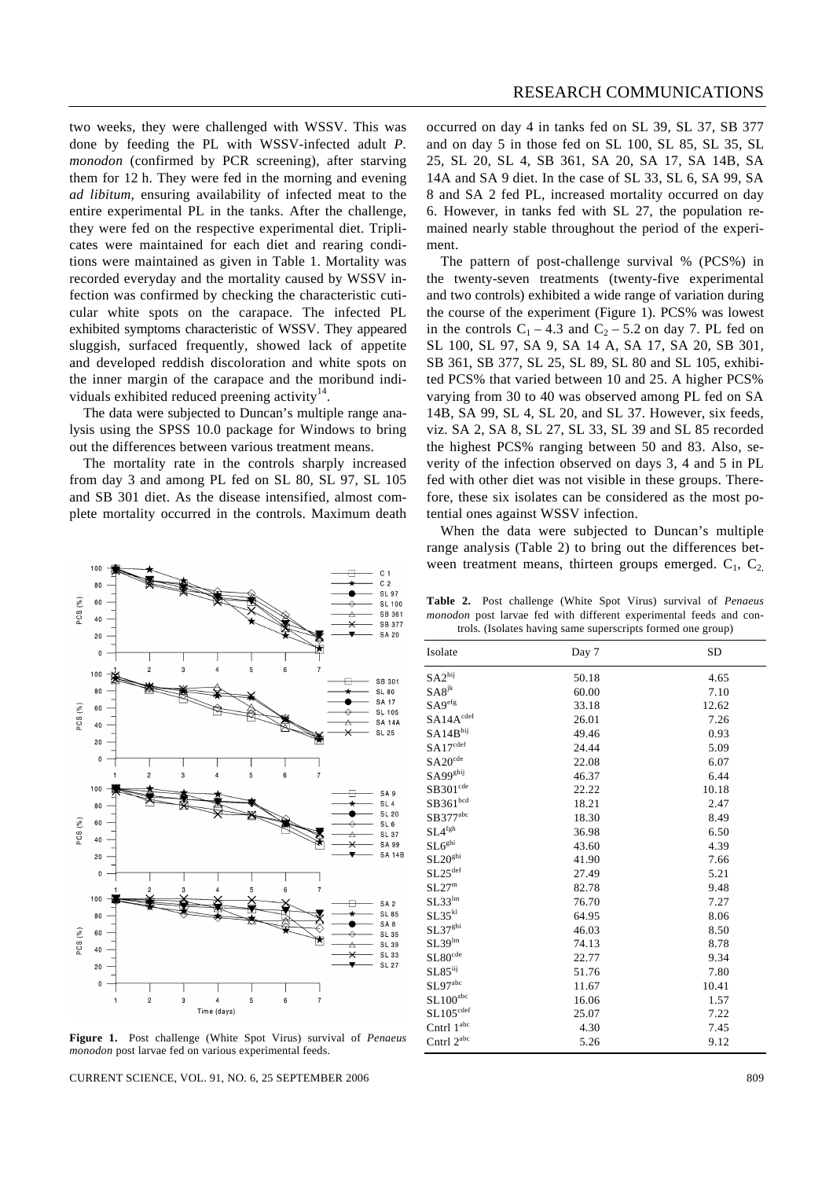two weeks, they were challenged with WSSV. This was done by feeding the PL with WSSV-infected adult *P. monodon* (confirmed by PCR screening), after starving them for 12 h. They were fed in the morning and evening *ad libitum*, ensuring availability of infected meat to the entire experimental PL in the tanks. After the challenge, they were fed on the respective experimental diet. Triplicates were maintained for each diet and rearing conditions were maintained as given in Table 1. Mortality was recorded everyday and the mortality caused by WSSV infection was confirmed by checking the characteristic cuticular white spots on the carapace. The infected PL exhibited symptoms characteristic of WSSV. They appeared sluggish, surfaced frequently, showed lack of appetite and developed reddish discoloration and white spots on the inner margin of the carapace and the moribund individuals exhibited reduced preening activity $14$ .

The data were subjected to Duncan's multiple range analysis using the SPSS 10.0 package for Windows to bring out the differences between various treatment means.

The mortality rate in the controls sharply increased from day 3 and among PL fed on SL 80, SL 97, SL 105 and SB 301 diet. As the disease intensified, almost complete mortality occurred in the controls. Maximum death



**Figure 1.** Post challenge (White Spot Virus) survival of *Penaeus monodon* post larvae fed on various experimental feeds.

CURRENT SCIENCE, VOL. 91, NO. 6, 25 SEPTEMBER 2006 809

occurred on day 4 in tanks fed on SL 39, SL 37, SB 377 and on day 5 in those fed on SL 100, SL 85, SL 35, SL 25, SL 20, SL 4, SB 361, SA 20, SA 17, SA 14B, SA 14A and SA 9 diet. In the case of SL 33, SL 6, SA 99, SA 8 and SA 2 fed PL, increased mortality occurred on day 6. However, in tanks fed with SL 27, the population remained nearly stable throughout the period of the experiment.

The pattern of post-challenge survival % (PCS%) in the twenty-seven treatments (twenty-five experimental and two controls) exhibited a wide range of variation during the course of the experiment (Figure 1). PCS% was lowest in the controls  $C_1$  – 4.3 and  $C_2$  – 5.2 on day 7. PL fed on SL 100, SL 97, SA 9, SA 14 A, SA 17, SA 20, SB 301, SB 361, SB 377, SL 25, SL 89, SL 80 and SL 105, exhibited PCS% that varied between 10 and 25. A higher PCS% varying from 30 to 40 was observed among PL fed on SA 14B, SA 99, SL 4, SL 20, and SL 37. However, six feeds, viz. SA 2, SA 8, SL 27, SL 33, SL 39 and SL 85 recorded the highest PCS% ranging between 50 and 83. Also, severity of the infection observed on days 3, 4 and 5 in PL fed with other diet was not visible in these groups. Therefore, these six isolates can be considered as the most potential ones against WSSV infection.

When the data were subjected to Duncan's multiple range analysis (Table 2) to bring out the differences between treatment means, thirteen groups emerged.  $C_1$ ,  $C_2$ 

**Table 2.** Post challenge (White Spot Virus) survival of *Penaeus monodon* post larvae fed with different experimental feeds and controls. (Isolates having same superscripts formed one group)

| Isolate                      | Day 7 | <b>SD</b> |
|------------------------------|-------|-----------|
| SA2 <sup>hij</sup>           | 50.18 | 4.65      |
| $SAS^{jk}$                   | 60.00 | 7.10      |
| $S\mathcal{A}9^{\text{efg}}$ | 33.18 | 12.62     |
| $SA14A^{cdef}$               | 26.01 | 7.26      |
| SA14B <sup>hij</sup>         | 49.46 | 0.93      |
| $SA17^{cdef}$                | 24.44 | 5.09      |
| $SA20^{cde}$                 | 22.08 | 6.07      |
| SA99 <sup>ghij</sup>         | 46.37 | 6.44      |
| $SB301^{cde}$                | 22.22 | 10.18     |
| SB361 <sup>bcd</sup>         | 18.21 | 2.47      |
| $SB377^{abc}$                | 18.30 | 8.49      |
| SL4 <sup>fgh</sup>           | 36.98 | 6.50      |
| SL6 <sup>ghi</sup>           | 43.60 | 4.39      |
| SL20 <sup>ghi</sup>          | 41.90 | 7.66      |
| $SL25^{\text{def}}$          | 27.49 | 5.21      |
| SL27 <sup>m</sup>            | 82.78 | 9.48      |
| $SL33^{lm}$                  | 76.70 | 7.27      |
| SL35 <sup>kl</sup>           | 64.95 | 8.06      |
| SL37 <sup>ghi</sup>          | 46.03 | 8.50      |
| SL39 <sup>lm</sup>           | 74.13 | 8.78      |
| $SL80^{\text{cde}}$          | 22.77 | 9.34      |
| $SL85^{iij}$                 | 51.76 | 7.80      |
| SL97 <sup>abc</sup>          | 11.67 | 10.41     |
| $SL100^{abc}$                | 16.06 | 1.57      |
| $SL105^{\text{cdef}}$        | 25.07 | 7.22      |
| Cntrl $1^{abc}$              | 4.30  | 7.45      |
| Cntrl 2 <sup>abc</sup>       | 5.26  | 9.12      |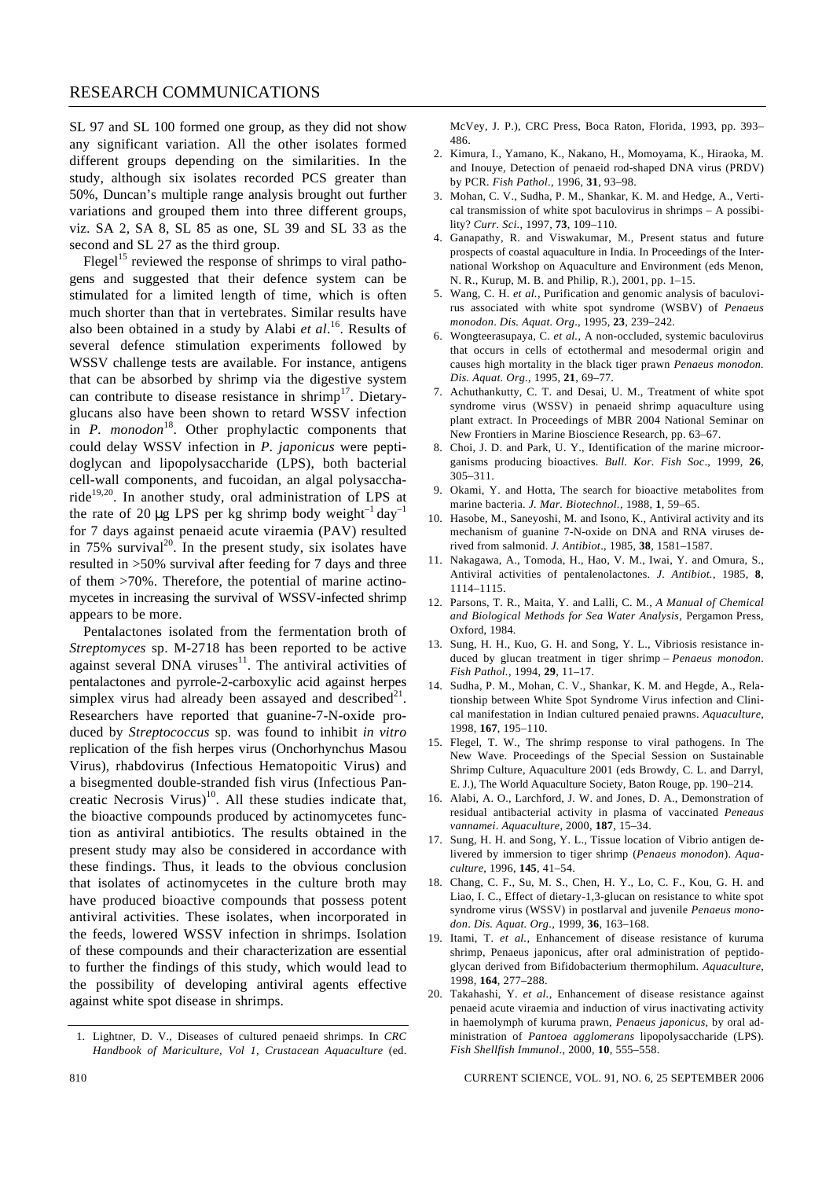#### RESEARCH COMMUNICATIONS

SL 97 and SL 100 formed one group, as they did not show any significant variation. All the other isolates formed different groups depending on the similarities. In the study, although six isolates recorded PCS greater than 50%, Duncan's multiple range analysis brought out further variations and grouped them into three different groups, viz*.* SA 2, SA 8, SL 85 as one, SL 39 and SL 33 as the second and SL 27 as the third group.

Flegel<sup>15</sup> reviewed the response of shrimps to viral pathogens and suggested that their defence system can be stimulated for a limited length of time, which is often much shorter than that in vertebrates. Similar results have also been obtained in a study by Alabi *et al*. <sup>16</sup>. Results of several defence stimulation experiments followed by WSSV challenge tests are available. For instance, antigens that can be absorbed by shrimp via the digestive system can contribute to disease resistance in shrimp<sup>17</sup>. Dietaryglucans also have been shown to retard WSSV infection in *P. monodon*<sup>18</sup>. Other prophylactic components that could delay WSSV infection in *P. japonicus* were peptidoglycan and lipopolysaccharide (LPS), both bacterial cell-wall components, and fucoidan, an algal polysaccharide<sup>19,20</sup>. In another study, oral administration of LPS at the rate of 20  $\mu$ g LPS per kg shrimp body weight<sup>-1</sup> day<sup>-1</sup> for 7 days against penaeid acute viraemia (PAV) resulted in 75% survival $^{20}$ . In the present study, six isolates have resulted in >50% survival after feeding for 7 days and three of them >70%. Therefore, the potential of marine actinomycetes in increasing the survival of WSSV-infected shrimp appears to be more.

Pentalactones isolated from the fermentation broth of *Streptomyces* sp. M-2718 has been reported to be active against several DNA viruses $11$ . The antiviral activities of pentalactones and pyrrole-2-carboxylic acid against herpes simplex virus had already been assayed and described $2<sup>1</sup>$ . Researchers have reported that guanine-7-N-oxide produced by *Streptococcus* sp. was found to inhibit *in vitro* replication of the fish herpes virus (Onchorhynchus Masou Virus), rhabdovirus (Infectious Hematopoitic Virus) and a bisegmented double-stranded fish virus (Infectious Pancreatic Necrosis Virus) $10$ . All these studies indicate that, the bioactive compounds produced by actinomycetes function as antiviral antibiotics. The results obtained in the present study may also be considered in accordance with these findings. Thus, it leads to the obvious conclusion that isolates of actinomycetes in the culture broth may have produced bioactive compounds that possess potent antiviral activities. These isolates, when incorporated in the feeds, lowered WSSV infection in shrimps. Isolation of these compounds and their characterization are essential to further the findings of this study, which would lead to the possibility of developing antiviral agents effective against white spot disease in shrimps.

McVey, J. P.), CRC Press, Boca Raton, Florida, 1993, pp. 393– 486.

- 2. Kimura, I., Yamano, K., Nakano, H., Momoyama, K., Hiraoka, M. and Inouye, Detection of penaeid rod-shaped DNA virus (PRDV) by PCR. *Fish Pathol*., 1996, **31**, 93–98.
- 3. Mohan, C. V., Sudha, P. M., Shankar, K. M. and Hedge, A., Vertical transmission of white spot baculovirus in shrimps – A possibility? *Curr. Sci.*, 1997, **73**, 109–110.
- 4. Ganapathy, R. and Viswakumar, M., Present status and future prospects of coastal aquaculture in India. In Proceedings of the International Workshop on Aquaculture and Environment (eds Menon, N. R., Kurup, M. B. and Philip, R.), 2001, pp. 1–15.
- 5. Wang, C. H. *et al.*, Purification and genomic analysis of baculovirus associated with white spot syndrome (WSBV) of *Penaeus monodon*. *Dis. Aquat. Org*., 1995, **23**, 239–242.
- 6. Wongteerasupaya, C. *et al.*, A non-occluded, systemic baculovirus that occurs in cells of ectothermal and mesodermal origin and causes high mortality in the black tiger prawn *Penaeus monodon. Dis. Aquat. Org.*, 1995, **21**, 69–77.
- 7. Achuthankutty, C. T. and Desai, U. M., Treatment of white spot syndrome virus (WSSV) in penaeid shrimp aquaculture using plant extract. In Proceedings of MBR 2004 National Seminar on New Frontiers in Marine Bioscience Research, pp. 63–67.
- 8. Choi, J. D. and Park, U. Y., Identification of the marine microorganisms producing bioactives. *Bull. Kor. Fish Soc*., 1999, **26**, 305–311.
- 9. Okami, Y. and Hotta, The search for bioactive metabolites from marine bacteria. *J. Mar. Biotechnol.*, 1988, **1**, 59–65.
- 10. Hasobe, M., Saneyoshi, M. and Isono, K., Antiviral activity and its mechanism of guanine 7-N-oxide on DNA and RNA viruses derived from salmonid. *J. Antibiot*., 1985, **38**, 1581–1587.
- 11. Nakagawa, A., Tomoda, H., Hao, V. M., Iwai, Y. and Omura, S., Antiviral activities of pentalenolactones. *J. Antibiot.*, 1985, **8**, 1114–1115.
- 12. Parsons, T. R., Maita, Y. and Lalli, C. M., *A Manual of Chemical and Biological Methods for Sea Water Analysis*, Pergamon Press, Oxford, 1984.
- 13. Sung, H. H., Kuo, G. H. and Song, Y. L., Vibriosis resistance induced by glucan treatment in tiger shrimp – *Penaeus monodon*. *Fish Pathol.*, 1994, **29**, 11–17.
- 14. Sudha, P. M., Mohan, C. V., Shankar, K. M. and Hegde, A., Relationship between White Spot Syndrome Virus infection and Clinical manifestation in Indian cultured penaied prawns. *Aquaculture*, 1998, **167**, 195–110.
- 15. Flegel, T. W., The shrimp response to viral pathogens. In The New Wave. Proceedings of the Special Session on Sustainable Shrimp Culture, Aquaculture 2001 (eds Browdy, C. L. and Darryl, E. J.), The World Aquaculture Society, Baton Rouge, pp. 190–214.
- 16. Alabi, A. O., Larchford, J. W. and Jones, D. A., Demonstration of residual antibacterial activity in plasma of vaccinated *Peneaus vannamei*. *Aquaculture*, 2000, **187**, 15–34.
- 17. Sung, H. H. and Song, Y. L., Tissue location of Vibrio antigen delivered by immersion to tiger shrimp (*Penaeus monodon*). *Aquaculture*, 1996, **145**, 41–54.
- 18. Chang, C. F., Su, M. S., Chen, H. Y., Lo, C. F., Kou, G. H. and Liao, I. C., Effect of dietary-1,3-glucan on resistance to white spot syndrome virus (WSSV) in postlarval and juvenile *Penaeus monodon*. *Dis. Aquat. Org*., 1999, **36**, 163–168.
- 19. Itami, T. *et al.*, Enhancement of disease resistance of kuruma shrimp, Penaeus japonicus, after oral administration of peptidoglycan derived from Bifidobacterium thermophilum. *Aquaculture*, 1998, **164**, 277–288.
- 20. Takahashi, Y. *et al.*, Enhancement of disease resistance against penaeid acute viraemia and induction of virus inactivating activity in haemolymph of kuruma prawn, *Penaeus japonicus*, by oral administration of *Pantoea agglomerans* lipopolysaccharide (LPS). *Fish Shellfish Immunol*., 2000, **10**, 555–558.

810 CURRENT SCIENCE, VOL. 91, NO. 6, 25 SEPTEMBER 2006

<sup>1.</sup> Lightner, D. V., Diseases of cultured penaeid shrimps. In *CRC Handbook of Mariculture, Vol 1, Crustacean Aquaculture* (ed.